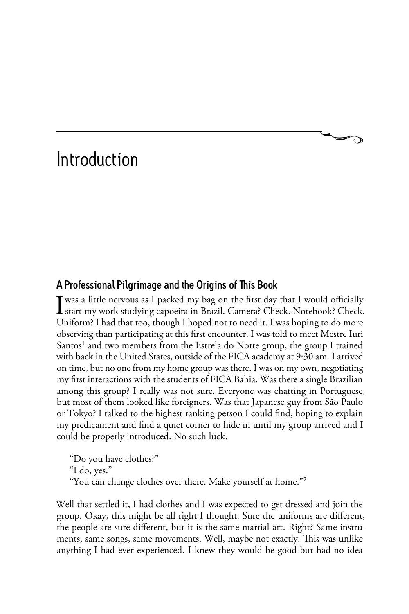# Introduction

## A Professional Pilgrimage and the Origins of This Book

I was a little nervous as I packed my bag on the first day that I would officially start my work studying capoeira in Brazil. Camera? Check. Notebook? Check. Uniform? I had that too, though I hoped not to need it. I was hoping to do more observing than participating at this first encounter. I was told to meet Mestre Iuri Santos<sup>1</sup> and two members from the Estrela do Norte group, the group I trained with back in the United States, outside of the FICA academy at 9:30 am. I arrived on time, but no one from my home group was there. I was on my own, negotiating my first interactions with the students of FICA Bahia. Was there a single Brazilian among this group? I really was not sure. Everyone was chatting in Portuguese, but most of them looked like foreigners. Was that Japanese guy from São Paulo or Tokyo? I talked to the highest ranking person I could find, hoping to explain my predicament and find a quiet corner to hide in until my group arrived and I could be properly introduced. No such luck.

 $\overline{a}$ 

"Do you have clothes?" "I do, yes." "You can change clothes over there. Make yourself at home."2

Well that settled it, I had clothes and I was expected to get dressed and join the group. Okay, this might be all right I thought. Sure the uniforms are different, the people are sure different, but it is the same martial art. Right? Same instruments, same songs, same movements. Well, maybe not exactly. This was unlike anything I had ever experienced. I knew they would be good but had no idea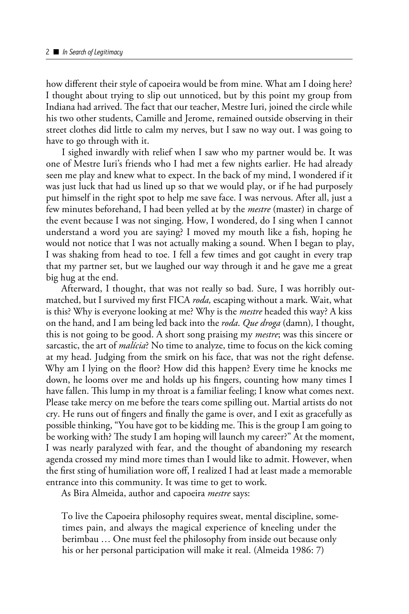how different their style of capoeira would be from mine. What am I doing here? I thought about trying to slip out unnoticed, but by this point my group from Indiana had arrived. The fact that our teacher, Mestre Iuri, joined the circle while his two other students, Camille and Jerome, remained outside observing in their street clothes did little to calm my nerves, but I saw no way out. I was going to have to go through with it.

I sighed inwardly with relief when I saw who my partner would be. It was one of Mestre Iuri's friends who I had met a few nights earlier. He had already seen me play and knew what to expect. In the back of my mind, I wondered if it was just luck that had us lined up so that we would play, or if he had purposely put himself in the right spot to help me save face. I was nervous. After all, just a few minutes beforehand, I had been yelled at by the *mestre* (master) in charge of the event because I was not singing. How, I wondered, do I sing when I cannot understand a word you are saying? I moved my mouth like a fish, hoping he would not notice that I was not actually making a sound. When I began to play, I was shaking from head to toe. I fell a few times and got caught in every trap that my partner set, but we laughed our way through it and he gave me a great big hug at the end.

Afterward, I thought, that was not really so bad. Sure, I was horribly outmatched, but I survived my first FICA *roda,* escaping without a mark. Wait, what is this? Why is everyone looking at me? Why is the *mestre* headed this way? A kiss on the hand, and I am being led back into the *roda*. *Que droga* (damn)*,* I thought, this is not going to be good. A short song praising my *mestre*; was this sincere or sarcastic, the art of *malícia*? No time to analyze, time to focus on the kick coming at my head. Judging from the smirk on his face, that was not the right defense. Why am I lying on the floor? How did this happen? Every time he knocks me down, he looms over me and holds up his fingers, counting how many times I have fallen. This lump in my throat is a familiar feeling; I know what comes next. Please take mercy on me before the tears come spilling out. Martial artists do not cry. He runs out of fingers and finally the game is over, and I exit as gracefully as possible thinking, "You have got to be kidding me. This is the group I am going to be working with? The study I am hoping will launch my career?" At the moment, I was nearly paralyzed with fear, and the thought of abandoning my research agenda crossed my mind more times than I would like to admit. However, when the first sting of humiliation wore off, I realized I had at least made a memorable entrance into this community. It was time to get to work.

As Bira Almeida, author and capoeira *mestre* says:

To live the Capoeira philosophy requires sweat, mental discipline, sometimes pain, and always the magical experience of kneeling under the berimbau … One must feel the philosophy from inside out because only his or her personal participation will make it real. (Almeida 1986: 7)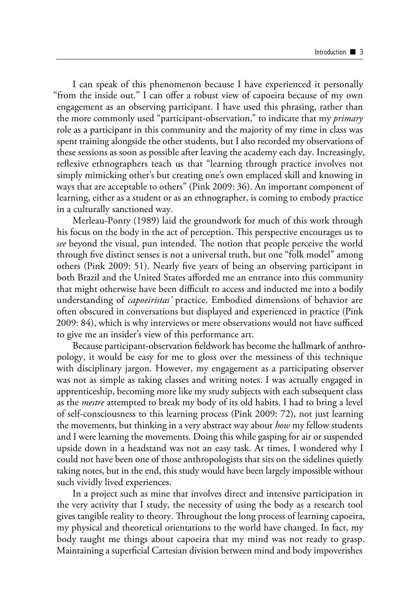I can speak of this phenomenon because I have experienced it personally "from the inside out." I can offer a robust view of capoeira because of my own engagement as an observing participant. I have used this phrasing, rather than the more commonly used "participant-observation," to indicate that my *primary*  role as a participant in this community and the majority of my time in class was spent training alongside the other students, but I also recorded my observations of these sessions as soon as possible after leaving the academy each day. Increasingly, reflexive ethnographers teach us that "learning through practice involves not simply mimicking other's but creating one's own emplaced skill and knowing in ways that are acceptable to others" (Pink 2009: 36). An important component of learning, either as a student or as an ethnographer, is coming to embody practice in a culturally sanctioned way.

Merleau-Ponty (1989) laid the groundwork for much of this work through his focus on the body in the act of perception. This perspective encourages us to *see* beyond the visual, pun intended. The notion that people perceive the world through five distinct senses is not a universal truth, but one "folk model" among others (Pink 2009: 51). Nearly five years of being an observing participant in both Brazil and the United States afforded me an entrance into this community that might otherwise have been difficult to access and inducted me into a bodily understanding of *capoeiristas'* practice. Embodied dimensions of behavior are often obscured in conversations but displayed and experienced in practice (Pink 2009: 84), which is why interviews or mere observations would not have sufficed to give me an insider's view of this performance art.

Because participant-observation fieldwork has become the hallmark of anthropology, it would be easy for me to gloss over the messiness of this technique with disciplinary jargon. However, my engagement as a participating observer was not as simple as taking classes and writing notes. I was actually engaged in apprenticeship, becoming more like my study subjects with each subsequent class as the *mestre* attempted to break my body of its old habits. I had to bring a level of self-consciousness to this learning process (Pink 2009: 72), not just learning the movements, but thinking in a very abstract way about *how* my fellow students and I were learning the movements. Doing this while gasping for air or suspended upside down in a headstand was not an easy task. At times, I wondered why I could not have been one of those anthropologists that sits on the sidelines quietly taking notes, but in the end, this study would have been largely impossible without such vividly lived experiences.

In a project such as mine that involves direct and intensive participation in the very activity that I study, the necessity of using the body as a research tool gives tangible reality to theory. Throughout the long process of learning capoeira, my physical and theoretical orientations to the world have changed. In fact, my body taught me things about capoeira that my mind was not ready to grasp. Maintaining a superficial Cartesian division between mind and body impoverishes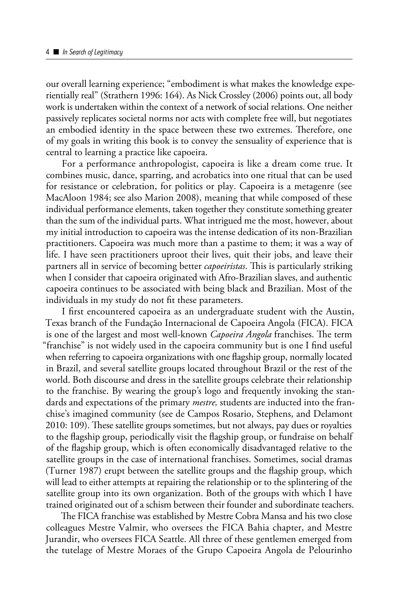our overall learning experience; "embodiment is what makes the knowledge experientially real" (Strathern 1996: 164). As Nick Crossley (2006) points out, all body work is undertaken within the context of a network of social relations. One neither passively replicates societal norms nor acts with complete free will, but negotiates an embodied identity in the space between these two extremes. Therefore, one of my goals in writing this book is to convey the sensuality of experience that is central to learning a practice like capoeira.

For a performance anthropologist, capoeira is like a dream come true. It combines music, dance, sparring, and acrobatics into one ritual that can be used for resistance or celebration, for politics or play. Capoeira is a metagenre (see MacAloon 1984; see also Marion 2008), meaning that while composed of these individual performance elements, taken together they constitute something greater than the sum of the individual parts. What intrigued me the most, however, about my initial introduction to capoeira was the intense dedication of its non-Brazilian practitioners. Capoeira was much more than a pastime to them; it was a way of life. I have seen practitioners uproot their lives, quit their jobs, and leave their partners all in service of becoming better *capoeiristas*. This is particularly striking when I consider that capoeira originated with Afro-Brazilian slaves, and authentic capoeira continues to be associated with being black and Brazilian. Most of the individuals in my study do not fit these parameters.

I first encountered capoeira as an undergraduate student with the Austin, Texas branch of the Fundação Internacional de Capoeira Angola (FICA). FICA is one of the largest and most well-known *Capoeira Angola* franchises. The term "franchise" is not widely used in the capoeira community but is one I find useful when referring to capoeira organizations with one flagship group, normally located in Brazil, and several satellite groups located throughout Brazil or the rest of the world. Both discourse and dress in the satellite groups celebrate their relationship to the franchise. By wearing the group's logo and frequently invoking the standards and expectations of the primary *mestre,* students are inducted into the franchise's imagined community (see de Campos Rosario, Stephens, and Delamont 2010: 109). These satellite groups sometimes, but not always, pay dues or royalties to the flagship group, periodically visit the flagship group, or fundraise on behalf of the flagship group, which is often economically disadvantaged relative to the satellite groups in the case of international franchises. Sometimes, social dramas (Turner 1987) erupt between the satellite groups and the flagship group, which will lead to either attempts at repairing the relationship or to the splintering of the satellite group into its own organization. Both of the groups with which I have trained originated out of a schism between their founder and subordinate teachers.

The FICA franchise was established by Mestre Cobra Mansa and his two close colleagues Mestre Valmir, who oversees the FICA Bahia chapter, and Mestre Jurandir, who oversees FICA Seattle. All three of these gentlemen emerged from the tutelage of Mestre Moraes of the Grupo Capoeira Angola de Pelourinho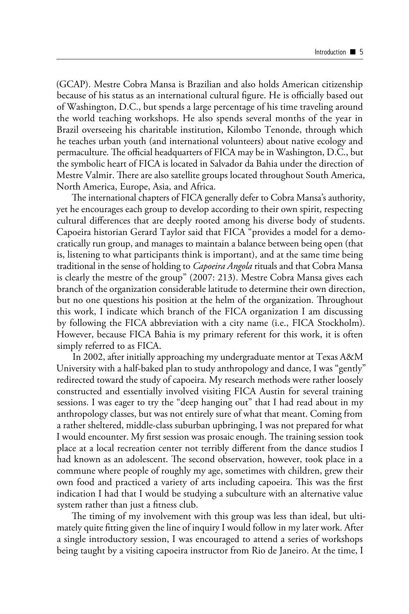(GCAP). Mestre Cobra Mansa is Brazilian and also holds American citizenship because of his status as an international cultural figure. He is officially based out of Washington, D.C., but spends a large percentage of his time traveling around the world teaching workshops. He also spends several months of the year in Brazil overseeing his charitable institution, Kilombo Tenonde, through which he teaches urban youth (and international volunteers) about native ecology and permaculture. The official headquarters of FICA may be in Washington, D.C., but the symbolic heart of FICA is located in Salvador da Bahia under the direction of Mestre Valmir. There are also satellite groups located throughout South America, North America, Europe, Asia, and Africa.

The international chapters of FICA generally defer to Cobra Mansa's authority, yet he encourages each group to develop according to their own spirit, respecting cultural differences that are deeply rooted among his diverse body of students. Capoeira historian Gerard Taylor said that FICA "provides a model for a democratically run group, and manages to maintain a balance between being open (that is, listening to what participants think is important), and at the same time being traditional in the sense of holding to *Capoeira Angola* rituals and that Cobra Mansa is clearly the mestre of the group" (2007: 213). Mestre Cobra Mansa gives each branch of the organization considerable latitude to determine their own direction, but no one questions his position at the helm of the organization. Throughout this work, I indicate which branch of the FICA organization I am discussing by following the FICA abbreviation with a city name (i.e., FICA Stockholm). However, because FICA Bahia is my primary referent for this work, it is often simply referred to as FICA.

In 2002, after initially approaching my undergraduate mentor at Texas A&M University with a half-baked plan to study anthropology and dance, I was "gently" redirected toward the study of capoeira. My research methods were rather loosely constructed and essentially involved visiting FICA Austin for several training sessions. I was eager to try the "deep hanging out" that I had read about in my anthropology classes, but was not entirely sure of what that meant. Coming from a rather sheltered, middle-class suburban upbringing, I was not prepared for what I would encounter. My first session was prosaic enough. The training session took place at a local recreation center not terribly different from the dance studios I had known as an adolescent. The second observation, however, took place in a commune where people of roughly my age, sometimes with children, grew their own food and practiced a variety of arts including capoeira. This was the first indication I had that I would be studying a subculture with an alternative value system rather than just a fitness club.

The timing of my involvement with this group was less than ideal, but ultimately quite fitting given the line of inquiry I would follow in my later work. After a single introductory session, I was encouraged to attend a series of workshops being taught by a visiting capoeira instructor from Rio de Janeiro. At the time, I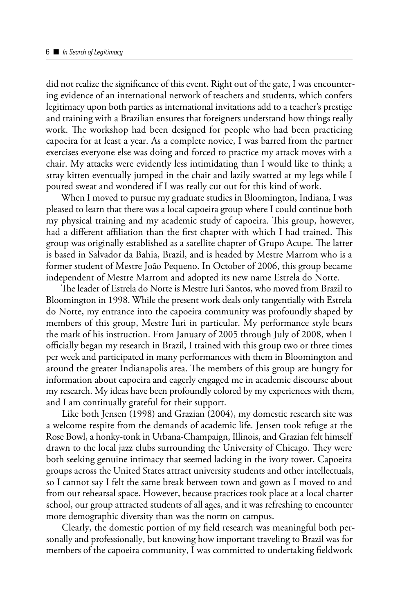did not realize the significance of this event. Right out of the gate, I was encountering evidence of an international network of teachers and students, which confers legitimacy upon both parties as international invitations add to a teacher's prestige and training with a Brazilian ensures that foreigners understand how things really work. The workshop had been designed for people who had been practicing capoeira for at least a year. As a complete novice, I was barred from the partner exercises everyone else was doing and forced to practice my attack moves with a chair. My attacks were evidently less intimidating than I would like to think; a stray kitten eventually jumped in the chair and lazily swatted at my legs while I poured sweat and wondered if I was really cut out for this kind of work.

When I moved to pursue my graduate studies in Bloomington, Indiana, I was pleased to learn that there was a local capoeira group where I could continue both my physical training and my academic study of capoeira. This group, however, had a different affiliation than the first chapter with which I had trained. This group was originally established as a satellite chapter of Grupo Acupe. The latter is based in Salvador da Bahia, Brazil, and is headed by Mestre Marrom who is a former student of Mestre João Pequeno. In October of 2006, this group became independent of Mestre Marrom and adopted its new name Estrela do Norte.

The leader of Estrela do Norte is Mestre Iuri Santos, who moved from Brazil to Bloomington in 1998. While the present work deals only tangentially with Estrela do Norte, my entrance into the capoeira community was profoundly shaped by members of this group, Mestre Iuri in particular. My performance style bears the mark of his instruction. From January of 2005 through July of 2008, when I officially began my research in Brazil, I trained with this group two or three times per week and participated in many performances with them in Bloomington and around the greater Indianapolis area. The members of this group are hungry for information about capoeira and eagerly engaged me in academic discourse about my research. My ideas have been profoundly colored by my experiences with them, and I am continually grateful for their support.

Like both Jensen (1998) and Grazian (2004), my domestic research site was a welcome respite from the demands of academic life. Jensen took refuge at the Rose Bowl, a honky-tonk in Urbana-Champaign, Illinois, and Grazian felt himself drawn to the local jazz clubs surrounding the University of Chicago. They were both seeking genuine intimacy that seemed lacking in the ivory tower. Capoeira groups across the United States attract university students and other intellectuals, so I cannot say I felt the same break between town and gown as I moved to and from our rehearsal space. However, because practices took place at a local charter school, our group attracted students of all ages, and it was refreshing to encounter more demographic diversity than was the norm on campus.

Clearly, the domestic portion of my field research was meaningful both personally and professionally, but knowing how important traveling to Brazil was for members of the capoeira community, I was committed to undertaking fieldwork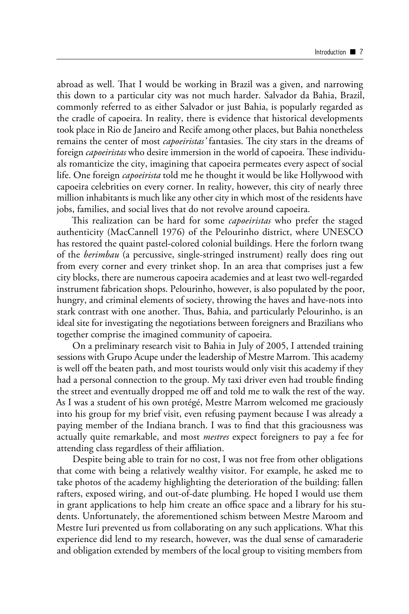abroad as well. That I would be working in Brazil was a given, and narrowing this down to a particular city was not much harder. Salvador da Bahia, Brazil, commonly referred to as either Salvador or just Bahia, is popularly regarded as the cradle of capoeira. In reality, there is evidence that historical developments took place in Rio de Janeiro and Recife among other places, but Bahia nonetheless remains the center of most *capoeiristas'* fantasies. The city stars in the dreams of foreign *capoeiristas* who desire immersion in the world of capoeira. These individuals romanticize the city, imagining that capoeira permeates every aspect of social life. One foreign *capoeirista* told me he thought it would be like Hollywood with capoeira celebrities on every corner. In reality, however, this city of nearly three million inhabitants is much like any other city in which most of the residents have jobs, families, and social lives that do not revolve around capoeira.

This realization can be hard for some *capoeiristas* who prefer the staged authenticity (MacCannell 1976) of the Pelourinho district, where UNESCO has restored the quaint pastel-colored colonial buildings. Here the forlorn twang of the *berimbau* (a percussive, single-stringed instrument) really does ring out from every corner and every trinket shop. In an area that comprises just a few city blocks, there are numerous capoeira academies and at least two well-regarded instrument fabrication shops. Pelourinho, however, is also populated by the poor, hungry, and criminal elements of society, throwing the haves and have-nots into stark contrast with one another. Thus, Bahia, and particularly Pelourinho, is an ideal site for investigating the negotiations between foreigners and Brazilians who together comprise the imagined community of capoeira.

On a preliminary research visit to Bahia in July of 2005, I attended training sessions with Grupo Acupe under the leadership of Mestre Marrom. This academy is well off the beaten path, and most tourists would only visit this academy if they had a personal connection to the group. My taxi driver even had trouble finding the street and eventually dropped me off and told me to walk the rest of the way. As I was a student of his own protégé, Mestre Marrom welcomed me graciously into his group for my brief visit, even refusing payment because I was already a paying member of the Indiana branch. I was to find that this graciousness was actually quite remarkable, and most *mestres* expect foreigners to pay a fee for attending class regardless of their affiliation.

Despite being able to train for no cost, I was not free from other obligations that come with being a relatively wealthy visitor. For example, he asked me to take photos of the academy highlighting the deterioration of the building: fallen rafters, exposed wiring, and out-of-date plumbing. He hoped I would use them in grant applications to help him create an office space and a library for his students. Unfortunately, the aforementioned schism between Mestre Maroom and Mestre Iuri prevented us from collaborating on any such applications. What this experience did lend to my research, however, was the dual sense of camaraderie and obligation extended by members of the local group to visiting members from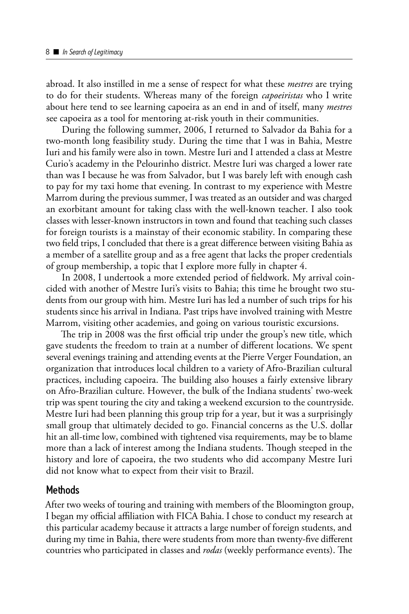abroad. It also instilled in me a sense of respect for what these *mestres* are trying to do for their students. Whereas many of the foreign *capoeiristas* who I write about here tend to see learning capoeira as an end in and of itself, many *mestres*  see capoeira as a tool for mentoring at-risk youth in their communities.

During the following summer, 2006, I returned to Salvador da Bahia for a two-month long feasibility study. During the time that I was in Bahia, Mestre Iuri and his family were also in town. Mestre Iuri and I attended a class at Mestre Curio's academy in the Pelourinho district. Mestre Iuri was charged a lower rate than was I because he was from Salvador, but I was barely left with enough cash to pay for my taxi home that evening. In contrast to my experience with Mestre Marrom during the previous summer, I was treated as an outsider and was charged an exorbitant amount for taking class with the well-known teacher. I also took classes with lesser-known instructors in town and found that teaching such classes for foreign tourists is a mainstay of their economic stability. In comparing these two field trips, I concluded that there is a great difference between visiting Bahia as a member of a satellite group and as a free agent that lacks the proper credentials of group membership, a topic that I explore more fully in chapter 4.

In 2008, I undertook a more extended period of fieldwork. My arrival coincided with another of Mestre Iuri's visits to Bahia; this time he brought two students from our group with him. Mestre Iuri has led a number of such trips for his students since his arrival in Indiana. Past trips have involved training with Mestre Marrom, visiting other academies, and going on various touristic excursions.

The trip in 2008 was the first official trip under the group's new title, which gave students the freedom to train at a number of different locations. We spent several evenings training and attending events at the Pierre Verger Foundation, an organization that introduces local children to a variety of Afro-Brazilian cultural practices, including capoeira. The building also houses a fairly extensive library on Afro-Brazilian culture. However, the bulk of the Indiana students' two-week trip was spent touring the city and taking a weekend excursion to the countryside. Mestre Iuri had been planning this group trip for a year, but it was a surprisingly small group that ultimately decided to go. Financial concerns as the U.S. dollar hit an all-time low, combined with tightened visa requirements, may be to blame more than a lack of interest among the Indiana students. Though steeped in the history and lore of capoeira, the two students who did accompany Mestre Iuri did not know what to expect from their visit to Brazil.

#### Methods

After two weeks of touring and training with members of the Bloomington group, I began my official affiliation with FICA Bahia. I chose to conduct my research at this particular academy because it attracts a large number of foreign students, and during my time in Bahia, there were students from more than twenty-five different countries who participated in classes and *rodas* (weekly performance events). The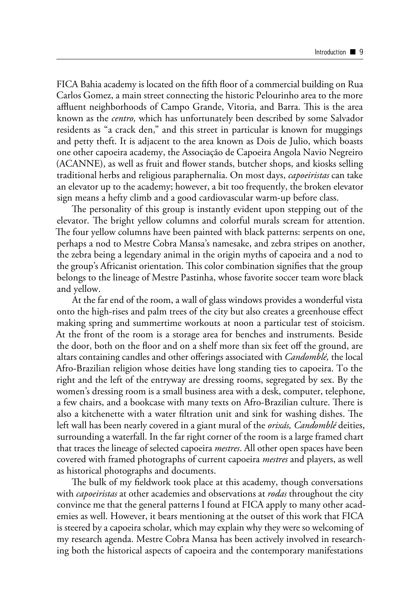FICA Bahia academy is located on the fifth floor of a commercial building on Rua Carlos Gomez, a main street connecting the historic Pelourinho area to the more affluent neighborhoods of Campo Grande, Vitoria, and Barra. This is the area known as the *centro,* which has unfortunately been described by some Salvador residents as "a crack den," and this street in particular is known for muggings and petty theft. It is adjacent to the area known as Dois de Julio, which boasts one other capoeira academy, the Associação de Capoeira Angola Navio Negreiro (ACANNE), as well as fruit and flower stands, butcher shops, and kiosks selling traditional herbs and religious paraphernalia. On most days, *capoeiristas* can take an elevator up to the academy; however, a bit too frequently, the broken elevator sign means a hefty climb and a good cardiovascular warm-up before class.

The personality of this group is instantly evident upon stepping out of the elevator. The bright yellow columns and colorful murals scream for attention. The four yellow columns have been painted with black patterns: serpents on one, perhaps a nod to Mestre Cobra Mansa's namesake, and zebra stripes on another, the zebra being a legendary animal in the origin myths of capoeira and a nod to the group's Africanist orientation. This color combination signifies that the group belongs to the lineage of Mestre Pastinha, whose favorite soccer team wore black and yellow.

At the far end of the room, a wall of glass windows provides a wonderful vista onto the high-rises and palm trees of the city but also creates a greenhouse effect making spring and summertime workouts at noon a particular test of stoicism. At the front of the room is a storage area for benches and instruments. Beside the door, both on the floor and on a shelf more than six feet off the ground, are altars containing candles and other offerings associated with *Candomblé,* the local Afro-Brazilian religion whose deities have long standing ties to capoeira. To the right and the left of the entryway are dressing rooms, segregated by sex. By the women's dressing room is a small business area with a desk, computer, telephone, a few chairs, and a bookcase with many texts on Afro-Brazilian culture. There is also a kitchenette with a water filtration unit and sink for washing dishes. The left wall has been nearly covered in a giant mural of the *orixás, Candomblé* deities, surrounding a waterfall. In the far right corner of the room is a large framed chart that traces the lineage of selected capoeira *mestres*. All other open spaces have been covered with framed photographs of current capoeira *mestres* and players, as well as historical photographs and documents.

The bulk of my fieldwork took place at this academy, though conversations with *capoeiristas* at other academies and observations at *rodas* throughout the city convince me that the general patterns I found at FICA apply to many other academies as well. However, it bears mentioning at the outset of this work that FICA is steered by a capoeira scholar, which may explain why they were so welcoming of my research agenda. Mestre Cobra Mansa has been actively involved in researching both the historical aspects of capoeira and the contemporary manifestations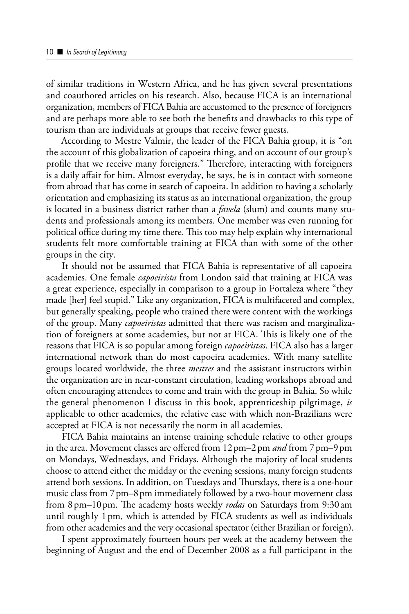of similar traditions in Western Africa, and he has given several presentations and coauthored articles on his research. Also, because FICA is an international organization, members of FICA Bahia are accustomed to the presence of foreigners and are perhaps more able to see both the benefits and drawbacks to this type of tourism than are individuals at groups that receive fewer guests.

According to Mestre Valmir, the leader of the FICA Bahia group, it is "on the account of this globalization of capoeira thing, and on account of our group's profile that we receive many foreigners." Therefore, interacting with foreigners is a daily affair for him. Almost everyday, he says, he is in contact with someone from abroad that has come in search of capoeira. In addition to having a scholarly orientation and emphasizing its status as an international organization, the group is located in a business district rather than a *favela* (slum) and counts many students and professionals among its members. One member was even running for political office during my time there. This too may help explain why international students felt more comfortable training at FICA than with some of the other groups in the city.

It should not be assumed that FICA Bahia is representative of all capoeira academies. One female *capoeirista* from London said that training at FICA was a great experience, especially in comparison to a group in Fortaleza where "they made [her] feel stupid." Like any organization, FICA is multifaceted and complex, but generally speaking, people who trained there were content with the workings of the group. Many *capoeiristas* admitted that there was racism and marginalization of foreigners at some academies, but not at FICA. This is likely one of the reasons that FICA is so popular among foreign *capoeiristas*. FICA also has a larger international network than do most capoeira academies. With many satellite groups located worldwide, the three *mestres* and the assistant instructors within the organization are in near-constant circulation, leading workshops abroad and often encouraging attendees to come and train with the group in Bahia. So while the general phenomenon I discuss in this book, apprenticeship pilgrimage, *is*  applicable to other academies, the relative ease with which non-Brazilians were accepted at FICA is not necessarily the norm in all academies.

FICA Bahia maintains an intense training schedule relative to other groups in the area. Movement classes are offered from 12pm–2pm *and* from 7pm–9pm on Mondays, Wednesdays, and Fridays. Although the majority of local students choose to attend either the midday or the evening sessions, many foreign students attend both sessions. In addition, on Tuesdays and Thursdays, there is a one-hour music class from 7pm–8pm immediately followed by a two-hour movement class from 8pm–10pm. The academy hosts weekly *rodas* on Saturdays from 9:30am until roughly 1pm, which is attended by FICA students as well as individuals from other academies and the very occasional spectator (either Brazilian or foreign).

I spent approximately fourteen hours per week at the academy between the beginning of August and the end of December 2008 as a full participant in the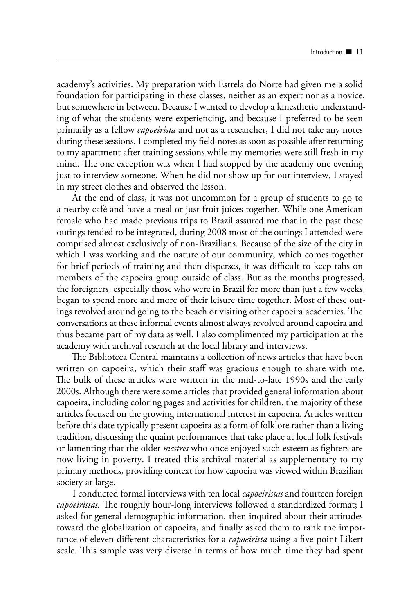academy's activities. My preparation with Estrela do Norte had given me a solid foundation for participating in these classes, neither as an expert nor as a novice, but somewhere in between. Because I wanted to develop a kinesthetic understanding of what the students were experiencing, and because I preferred to be seen primarily as a fellow *capoeirista* and not as a researcher, I did not take any notes during these sessions. I completed my field notes as soon as possible after returning to my apartment after training sessions while my memories were still fresh in my mind. The one exception was when I had stopped by the academy one evening just to interview someone. When he did not show up for our interview, I stayed in my street clothes and observed the lesson.

At the end of class, it was not uncommon for a group of students to go to a nearby café and have a meal or just fruit juices together. While one American female who had made previous trips to Brazil assured me that in the past these outings tended to be integrated, during 2008 most of the outings I attended were comprised almost exclusively of non-Brazilians. Because of the size of the city in which I was working and the nature of our community, which comes together for brief periods of training and then disperses, it was difficult to keep tabs on members of the capoeira group outside of class. But as the months progressed, the foreigners, especially those who were in Brazil for more than just a few weeks, began to spend more and more of their leisure time together. Most of these outings revolved around going to the beach or visiting other capoeira academies. The conversations at these informal events almost always revolved around capoeira and thus became part of my data as well. I also complimented my participation at the academy with archival research at the local library and interviews.

The Biblioteca Central maintains a collection of news articles that have been written on capoeira, which their staff was gracious enough to share with me. The bulk of these articles were written in the mid-to-late 1990s and the early 2000s. Although there were some articles that provided general information about capoeira, including coloring pages and activities for children, the majority of these articles focused on the growing international interest in capoeira. Articles written before this date typically present capoeira as a form of folklore rather than a living tradition, discussing the quaint performances that take place at local folk festivals or lamenting that the older *mestres* who once enjoyed such esteem as fighters are now living in poverty. I treated this archival material as supplementary to my primary methods, providing context for how capoeira was viewed within Brazilian society at large.

I conducted formal interviews with ten local *capoeiristas* and fourteen foreign *capoeiristas.* The roughly hour-long interviews followed a standardized format; I asked for general demographic information, then inquired about their attitudes toward the globalization of capoeira, and finally asked them to rank the importance of eleven different characteristics for a *capoeirista* using a five-point Likert scale. This sample was very diverse in terms of how much time they had spent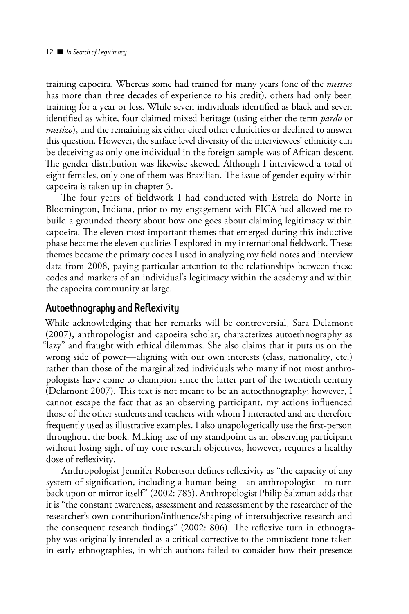training capoeira. Whereas some had trained for many years (one of the *mestres* has more than three decades of experience to his credit), others had only been training for a year or less. While seven individuals identified as black and seven identified as white, four claimed mixed heritage (using either the term *pardo* or *mestizo*), and the remaining six either cited other ethnicities or declined to answer this question. However, the surface level diversity of the interviewees' ethnicity can be deceiving as only one individual in the foreign sample was of African descent. The gender distribution was likewise skewed. Although I interviewed a total of eight females, only one of them was Brazilian. The issue of gender equity within capoeira is taken up in chapter 5.

The four years of fieldwork I had conducted with Estrela do Norte in Bloomington, Indiana, prior to my engagement with FICA had allowed me to build a grounded theory about how one goes about claiming legitimacy within capoeira. The eleven most important themes that emerged during this inductive phase became the eleven qualities I explored in my international fieldwork. These themes became the primary codes I used in analyzing my field notes and interview data from 2008, paying particular attention to the relationships between these codes and markers of an individual's legitimacy within the academy and within the capoeira community at large.

## Autoethnography and Reflexivity

While acknowledging that her remarks will be controversial, Sara Delamont (2007), anthropologist and capoeira scholar, characterizes autoethnography as "lazy" and fraught with ethical dilemmas. She also claims that it puts us on the wrong side of power—aligning with our own interests (class, nationality, etc.) rather than those of the marginalized individuals who many if not most anthropologists have come to champion since the latter part of the twentieth century (Delamont 2007). This text is not meant to be an autoethnography; however, I cannot escape the fact that as an observing participant, my actions influenced those of the other students and teachers with whom I interacted and are therefore frequently used as illustrative examples. I also unapologetically use the first-person throughout the book. Making use of my standpoint as an observing participant without losing sight of my core research objectives, however, requires a healthy dose of reflexivity.

Anthropologist Jennifer Robertson defines reflexivity as "the capacity of any system of signification, including a human being—an anthropologist—to turn back upon or mirror itself" (2002: 785). Anthropologist Philip Salzman adds that it is "the constant awareness, assessment and reassessment by the researcher of the researcher's own contribution/influence/shaping of intersubjective research and the consequent research findings" (2002: 806). The reflexive turn in ethnography was originally intended as a critical corrective to the omniscient tone taken in early ethnographies, in which authors failed to consider how their presence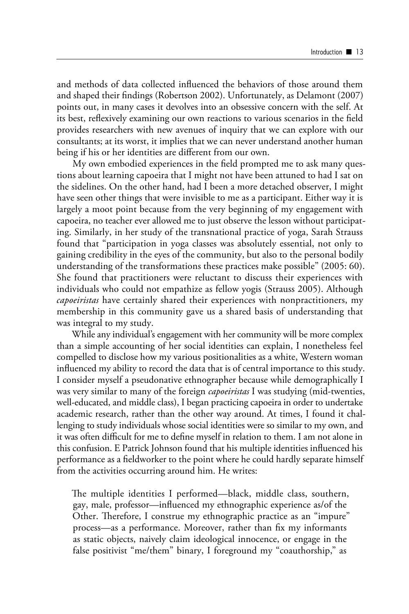and methods of data collected influenced the behaviors of those around them and shaped their findings (Robertson 2002). Unfortunately, as Delamont (2007) points out, in many cases it devolves into an obsessive concern with the self. At its best, reflexively examining our own reactions to various scenarios in the field provides researchers with new avenues of inquiry that we can explore with our consultants; at its worst, it implies that we can never understand another human being if his or her identities are different from our own.

My own embodied experiences in the field prompted me to ask many questions about learning capoeira that I might not have been attuned to had I sat on the sidelines. On the other hand, had I been a more detached observer, I might have seen other things that were invisible to me as a participant. Either way it is largely a moot point because from the very beginning of my engagement with capoeira, no teacher ever allowed me to just observe the lesson without participating. Similarly, in her study of the transnational practice of yoga, Sarah Strauss found that "participation in yoga classes was absolutely essential, not only to gaining credibility in the eyes of the community, but also to the personal bodily understanding of the transformations these practices make possible" (2005: 60). She found that practitioners were reluctant to discuss their experiences with individuals who could not empathize as fellow yogis (Strauss 2005). Although *capoeiristas* have certainly shared their experiences with nonpractitioners, my membership in this community gave us a shared basis of understanding that was integral to my study.

While any individual's engagement with her community will be more complex than a simple accounting of her social identities can explain, I nonetheless feel compelled to disclose how my various positionalities as a white, Western woman influenced my ability to record the data that is of central importance to this study. I consider myself a pseudonative ethnographer because while demographically I was very similar to many of the foreign *capoeiristas* I was studying (mid-twenties, well-educated, and middle class), I began practicing capoeira in order to undertake academic research, rather than the other way around. At times, I found it challenging to study individuals whose social identities were so similar to my own, and it was often difficult for me to define myself in relation to them. I am not alone in this confusion. E Patrick Johnson found that his multiple identities influenced his performance as a fieldworker to the point where he could hardly separate himself from the activities occurring around him. He writes:

The multiple identities I performed—black, middle class, southern, gay, male, professor—influenced my ethnographic experience as/of the Other. Therefore, I construe my ethnographic practice as an "impure" process—as a performance. Moreover, rather than fix my informants as static objects, naively claim ideological innocence, or engage in the false positivist "me/them" binary, I foreground my "coauthorship," as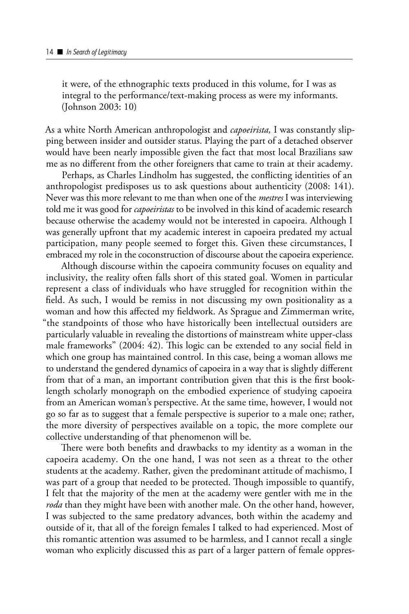it were, of the ethnographic texts produced in this volume, for I was as integral to the performance/text-making process as were my informants. (Johnson 2003: 10)

As a white North American anthropologist and *capoeirista,* I was constantly slipping between insider and outsider status. Playing the part of a detached observer would have been nearly impossible given the fact that most local Brazilians saw me as no different from the other foreigners that came to train at their academy.

Perhaps, as Charles Lindholm has suggested, the conflicting identities of an anthropologist predisposes us to ask questions about authenticity (2008: 141). Never was this more relevant to me than when one of the *mestres* I was interviewing told me it was good for *capoeiristas* to be involved in this kind of academic research because otherwise the academy would not be interested in capoeira. Although I was generally upfront that my academic interest in capoeira predated my actual participation, many people seemed to forget this. Given these circumstances, I embraced my role in the coconstruction of discourse about the capoeira experience.

Although discourse within the capoeira community focuses on equality and inclusivity, the reality often falls short of this stated goal. Women in particular represent a class of individuals who have struggled for recognition within the field. As such, I would be remiss in not discussing my own positionality as a woman and how this affected my fieldwork. As Sprague and Zimmerman write, "the standpoints of those who have historically been intellectual outsiders are particularly valuable in revealing the distortions of mainstream white upper-class male frameworks" (2004: 42). This logic can be extended to any social field in which one group has maintained control. In this case, being a woman allows me to understand the gendered dynamics of capoeira in a way that is slightly different from that of a man, an important contribution given that this is the first booklength scholarly monograph on the embodied experience of studying capoeira from an American woman's perspective. At the same time, however, I would not go so far as to suggest that a female perspective is superior to a male one; rather, the more diversity of perspectives available on a topic, the more complete our collective understanding of that phenomenon will be.

There were both benefits and drawbacks to my identity as a woman in the capoeira academy. On the one hand, I was not seen as a threat to the other students at the academy. Rather, given the predominant attitude of machismo, I was part of a group that needed to be protected. Though impossible to quantify, I felt that the majority of the men at the academy were gentler with me in the *roda* than they might have been with another male. On the other hand, however, I was subjected to the same predatory advances, both within the academy and outside of it, that all of the foreign females I talked to had experienced. Most of this romantic attention was assumed to be harmless, and I cannot recall a single woman who explicitly discussed this as part of a larger pattern of female oppres-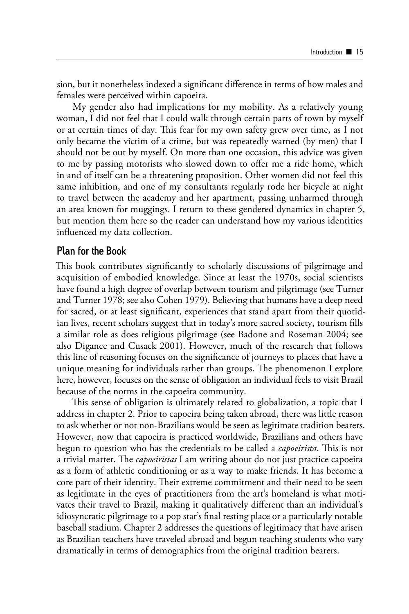sion, but it nonetheless indexed a significant difference in terms of how males and females were perceived within capoeira.

My gender also had implications for my mobility. As a relatively young woman, I did not feel that I could walk through certain parts of town by myself or at certain times of day. This fear for my own safety grew over time, as I not only became the victim of a crime, but was repeatedly warned (by men) that I should not be out by myself. On more than one occasion, this advice was given to me by passing motorists who slowed down to offer me a ride home, which in and of itself can be a threatening proposition. Other women did not feel this same inhibition, and one of my consultants regularly rode her bicycle at night to travel between the academy and her apartment, passing unharmed through an area known for muggings. I return to these gendered dynamics in chapter 5, but mention them here so the reader can understand how my various identities influenced my data collection.

#### Plan for the Book

This book contributes significantly to scholarly discussions of pilgrimage and acquisition of embodied knowledge. Since at least the 1970s, social scientists have found a high degree of overlap between tourism and pilgrimage (see Turner and Turner 1978; see also Cohen 1979). Believing that humans have a deep need for sacred, or at least significant, experiences that stand apart from their quotidian lives, recent scholars suggest that in today's more sacred society, tourism fills a similar role as does religious pilgrimage (see Badone and Roseman 2004; see also Digance and Cusack 2001). However, much of the research that follows this line of reasoning focuses on the significance of journeys to places that have a unique meaning for individuals rather than groups. The phenomenon I explore here, however, focuses on the sense of obligation an individual feels to visit Brazil because of the norms in the capoeira community.

This sense of obligation is ultimately related to globalization, a topic that I address in chapter 2. Prior to capoeira being taken abroad, there was little reason to ask whether or not non-Brazilians would be seen as legitimate tradition bearers. However, now that capoeira is practiced worldwide, Brazilians and others have begun to question who has the credentials to be called a *capoeirista*. This is not a trivial matter. The *capoeiristas* I am writing about do not just practice capoeira as a form of athletic conditioning or as a way to make friends. It has become a core part of their identity. Their extreme commitment and their need to be seen as legitimate in the eyes of practitioners from the art's homeland is what motivates their travel to Brazil, making it qualitatively different than an individual's idiosyncratic pilgrimage to a pop star's final resting place or a particularly notable baseball stadium. Chapter 2 addresses the questions of legitimacy that have arisen as Brazilian teachers have traveled abroad and begun teaching students who vary dramatically in terms of demographics from the original tradition bearers.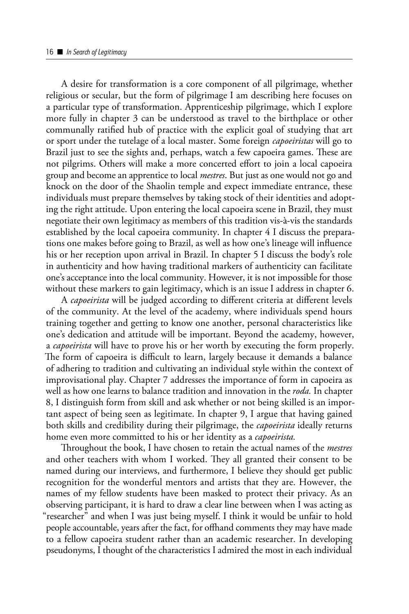A desire for transformation is a core component of all pilgrimage, whether religious or secular, but the form of pilgrimage I am describing here focuses on a particular type of transformation. Apprenticeship pilgrimage, which I explore more fully in chapter 3 can be understood as travel to the birthplace or other communally ratified hub of practice with the explicit goal of studying that art or sport under the tutelage of a local master. Some foreign *capoeiristas* will go to Brazil just to see the sights and, perhaps, watch a few capoeira games. These are not pilgrims. Others will make a more concerted effort to join a local capoeira group and become an apprentice to local *mestres*. But just as one would not go and knock on the door of the Shaolin temple and expect immediate entrance, these individuals must prepare themselves by taking stock of their identities and adopting the right attitude. Upon entering the local capoeira scene in Brazil, they must negotiate their own legitimacy as members of this tradition vis-à-vis the standards established by the local capoeira community. In chapter 4 I discuss the preparations one makes before going to Brazil, as well as how one's lineage will influence his or her reception upon arrival in Brazil. In chapter 5 I discuss the body's role in authenticity and how having traditional markers of authenticity can facilitate one's acceptance into the local community. However, it is not impossible for those without these markers to gain legitimacy, which is an issue I address in chapter 6.

A *capoeirista* will be judged according to different criteria at different levels of the community. At the level of the academy, where individuals spend hours training together and getting to know one another, personal characteristics like one's dedication and attitude will be important. Beyond the academy, however, a *capoeirista* will have to prove his or her worth by executing the form properly. The form of capoeira is difficult to learn, largely because it demands a balance of adhering to tradition and cultivating an individual style within the context of improvisational play. Chapter 7 addresses the importance of form in capoeira as well as how one learns to balance tradition and innovation in the *roda.* In chapter 8, I distinguish form from skill and ask whether or not being skilled is an important aspect of being seen as legitimate. In chapter 9, I argue that having gained both skills and credibility during their pilgrimage, the *capoeirista* ideally returns home even more committed to his or her identity as a *capoeirista.*

Throughout the book, I have chosen to retain the actual names of the *mestres*  and other teachers with whom I worked. They all granted their consent to be named during our interviews, and furthermore, I believe they should get public recognition for the wonderful mentors and artists that they are. However, the names of my fellow students have been masked to protect their privacy. As an observing participant, it is hard to draw a clear line between when I was acting as "researcher" and when I was just being myself. I think it would be unfair to hold people accountable, years after the fact, for offhand comments they may have made to a fellow capoeira student rather than an academic researcher. In developing pseudonyms, I thought of the characteristics I admired the most in each individual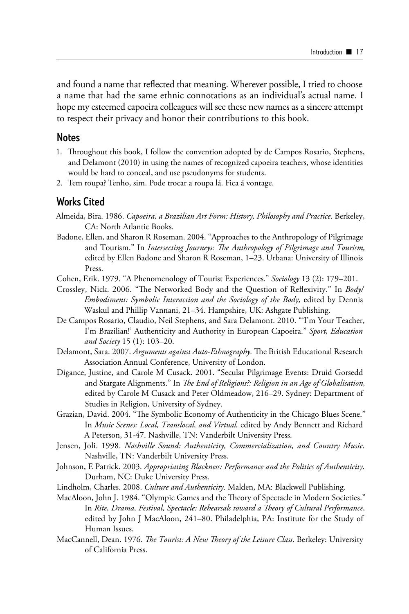and found a name that reflected that meaning. Wherever possible, I tried to choose a name that had the same ethnic connotations as an individual's actual name. I hope my esteemed capoeira colleagues will see these new names as a sincere attempt to respect their privacy and honor their contributions to this book.

#### **Notes**

- 1. Throughout this book, I follow the convention adopted by de Campos Rosario, Stephens, and Delamont (2010) in using the names of recognized capoeira teachers, whose identities would be hard to conceal, and use pseudonyms for students.
- 2. Tem roupa? Tenho, sim. Pode trocar a roupa lá. Fica á vontage.

## Works Cited

- Almeida, Bira. 1986. *Capoeira, a Brazilian Art Form: History, Philosophy and Practice*. Berkeley, CA: North Atlantic Books.
- Badone, Ellen, and Sharon R Roseman. 2004. "Approaches to the Anthropology of Pilgrimage and Tourism." In *Intersecting Journeys: The Anthropology of Pilgrimage and Tourism,* edited by Ellen Badone and Sharon R Roseman, 1–23. Urbana: University of Illinois Press.
- Cohen, Erik. 1979. "A Phenomenology of Tourist Experiences." *Sociology* 13 (2): 179–201.
- Crossley, Nick. 2006. "The Networked Body and the Question of Reflexivity." In *Body/ Embodiment: Symbolic Interaction and the Sociology of the Body,* edited by Dennis Waskul and Phillip Vannani, 21–34. Hampshire, UK: Ashgate Publishing.
- De Campos Rosario, Claudio, Neil Stephens, and Sara Delamont. 2010. "'I'm Your Teacher, I'm Brazilian!' Authenticity and Authority in European Capoeira." *Sport, Education and Society* 15 (1): 103–20.
- Delamont, Sara. 2007. *Arguments against Auto-Ethnography.* The British Educational Research Association Annual Conference, University of London.
- Digance, Justine, and Carole M Cusack. 2001. "Secular Pilgrimage Events: Druid Gorsedd and Stargate Alignments." In *The End of Religions?: Religion in an Age of Globalisation,* edited by Carole M Cusack and Peter Oldmeadow, 216–29. Sydney: Department of Studies in Religion, University of Sydney.
- Grazian, David. 2004. "The Symbolic Economy of Authenticity in the Chicago Blues Scene." In *Music Scenes: Local, Translocal, and Virtual,* edited by Andy Bennett and Richard A Peterson, 31-47. Nashville, TN: Vanderbilt University Press.
- Jensen, Joli. 1998. *Nashville Sound: Authenticity, Commercialization, and Country Music*. Nashville, TN: Vanderbilt University Press.
- Johnson, E Patrick. 2003. *Appropriating Blackness: Performance and the Politics of Authenticity*. Durham, NC: Duke University Press.
- Lindholm, Charles. 2008. *Culture and Authenticity*. Malden, MA: Blackwell Publishing.
- MacAloon, John J. 1984. "Olympic Games and the Theory of Spectacle in Modern Societies." In *Rite, Drama, Festival, Spectacle: Rehearsals toward a Theory of Cultural Performance,* edited by John J MacAloon, 241–80. Philadelphia, PA: Institute for the Study of Human Issues.
- MacCannell, Dean. 1976. *The Tourist: A New Theory of the Leisure Class*. Berkeley: University of California Press.